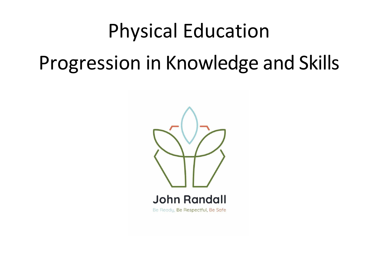## Physical Education

# Progression in Knowledge and Skills

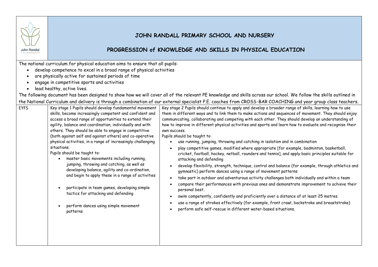

#### **JOHN RANDALL PRIMARY SCHOOL AND NURSERY**

#### **PROGRESSION of KNOWLEDGE AND SKILLS IN PHYSICAL EDUCATION**

The national curriculum for physical education aims to ensure that all pupils:

- develop competence to excel in a broad range of physical activities
- are physically active for sustained periods of time
- engage in competitive sports and activities
- lead healthy, active lives.

The following document has been designed to show how we will cover all of the relevant PE knowledge and skills across our school. We follow the skills outlined in the National Curriculum and delivery is through a combination of our external specialist P.E. coaches from CROSS-BAR COACHING and year group class teachers.

| <b>EYFS</b> | Key stage 1 Pupils should develop fundamental movement<br>skills, become increasingly competent and confident and<br>access a broad range of opportunities to extend their<br>agility, balance and coordination, individually and with<br>others. They should be able to engage in competitive<br>(both against self and against others) and co-operative<br>physical activities, in a range of increasingly challenging<br>situations.<br>Pupils should be taught to:<br>master basic movements including running,<br>jumping, throwing and catching, as well as<br>developing balance, agility and co-ordination,<br>and begin to apply these in a range of activities<br>participate in team games, developing simple<br>tactics for attacking and defending<br>perform dances using simple movement<br>patterns | Key stage 2 Pupils should continue to apply and develop a broader range of skills, learning how to use<br>them in different ways and to link them to make actions and sequences of movement. They should enjoy<br>communicating, collaborating and competing with each other. They should develop an understanding of<br>how to improve in different physical activities and sports and learn how to evaluate and recognise their<br>own success.<br>Pupils should be taught to:<br>use running, jumping, throwing and catching in isolation and in combination<br>play competitive games, modified where appropriate [for example, badminton, basketball,<br>cricket, football, hockey, netball, rounders and tennis], and apply basic principles suitable for<br>attacking and defending<br>develop flexibility, strength, technique, control and balance (for example, through athletics and<br>gymnastic) perform dances using a range of movement patterns<br>take part in outdoor and adventurous activity challenges both individually and within a team<br>$\bullet$<br>compare their performances with previous ones and demonstrate improvement to achieve their<br>personal best.<br>swim competently, confidently and proficiently over a distance of at least 25 metres.<br>use a range of strokes effectively (for example, front crawl, backstroke and breaststroke)<br>perform safe self-rescue in different water-based situations.<br>$\bullet$ |
|-------------|---------------------------------------------------------------------------------------------------------------------------------------------------------------------------------------------------------------------------------------------------------------------------------------------------------------------------------------------------------------------------------------------------------------------------------------------------------------------------------------------------------------------------------------------------------------------------------------------------------------------------------------------------------------------------------------------------------------------------------------------------------------------------------------------------------------------|-------------------------------------------------------------------------------------------------------------------------------------------------------------------------------------------------------------------------------------------------------------------------------------------------------------------------------------------------------------------------------------------------------------------------------------------------------------------------------------------------------------------------------------------------------------------------------------------------------------------------------------------------------------------------------------------------------------------------------------------------------------------------------------------------------------------------------------------------------------------------------------------------------------------------------------------------------------------------------------------------------------------------------------------------------------------------------------------------------------------------------------------------------------------------------------------------------------------------------------------------------------------------------------------------------------------------------------------------------------------------------------------------------------------------------------------------------------------|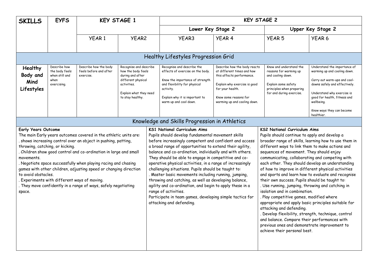| <b>SKILLS</b>                                                                                                                                                                                                                                                                                                                                                                                                                                                                                                                                                             | <b>EYFS</b>                                                             | <b>KEY STAGE 1</b>                                           |                                                                                                                                                     |  |                                                                                                                                                                                                                                                                                                                                                                                                                                                                                                                                                                                                                                                                                                                                                    |                                                                                                                                                                                                      | <b>KEY STAGE 2</b>                                                                                                                                                                                                                                                                                                                                                                                                                                                                                                                                                                                                                                                                                                                                                                                            |                                                                                                                                                                                                                                                      |
|---------------------------------------------------------------------------------------------------------------------------------------------------------------------------------------------------------------------------------------------------------------------------------------------------------------------------------------------------------------------------------------------------------------------------------------------------------------------------------------------------------------------------------------------------------------------------|-------------------------------------------------------------------------|--------------------------------------------------------------|-----------------------------------------------------------------------------------------------------------------------------------------------------|--|----------------------------------------------------------------------------------------------------------------------------------------------------------------------------------------------------------------------------------------------------------------------------------------------------------------------------------------------------------------------------------------------------------------------------------------------------------------------------------------------------------------------------------------------------------------------------------------------------------------------------------------------------------------------------------------------------------------------------------------------------|------------------------------------------------------------------------------------------------------------------------------------------------------------------------------------------------------|---------------------------------------------------------------------------------------------------------------------------------------------------------------------------------------------------------------------------------------------------------------------------------------------------------------------------------------------------------------------------------------------------------------------------------------------------------------------------------------------------------------------------------------------------------------------------------------------------------------------------------------------------------------------------------------------------------------------------------------------------------------------------------------------------------------|------------------------------------------------------------------------------------------------------------------------------------------------------------------------------------------------------------------------------------------------------|
|                                                                                                                                                                                                                                                                                                                                                                                                                                                                                                                                                                           |                                                                         |                                                              |                                                                                                                                                     |  | Lower Key Stage 2                                                                                                                                                                                                                                                                                                                                                                                                                                                                                                                                                                                                                                                                                                                                  |                                                                                                                                                                                                      |                                                                                                                                                                                                                                                                                                                                                                                                                                                                                                                                                                                                                                                                                                                                                                                                               | Upper Key Stage 2                                                                                                                                                                                                                                    |
|                                                                                                                                                                                                                                                                                                                                                                                                                                                                                                                                                                           |                                                                         | <b>YEAR1</b>                                                 | <b>YEAR2</b>                                                                                                                                        |  | YEAR3                                                                                                                                                                                                                                                                                                                                                                                                                                                                                                                                                                                                                                                                                                                                              | <b>YEAR 4</b>                                                                                                                                                                                        | <b>YEAR 5</b>                                                                                                                                                                                                                                                                                                                                                                                                                                                                                                                                                                                                                                                                                                                                                                                                 | YEAR <sub>6</sub>                                                                                                                                                                                                                                    |
|                                                                                                                                                                                                                                                                                                                                                                                                                                                                                                                                                                           |                                                                         |                                                              |                                                                                                                                                     |  |                                                                                                                                                                                                                                                                                                                                                                                                                                                                                                                                                                                                                                                                                                                                                    |                                                                                                                                                                                                      |                                                                                                                                                                                                                                                                                                                                                                                                                                                                                                                                                                                                                                                                                                                                                                                                               |                                                                                                                                                                                                                                                      |
|                                                                                                                                                                                                                                                                                                                                                                                                                                                                                                                                                                           |                                                                         |                                                              |                                                                                                                                                     |  | Healthy Lifestyles Progression Grid                                                                                                                                                                                                                                                                                                                                                                                                                                                                                                                                                                                                                                                                                                                |                                                                                                                                                                                                      |                                                                                                                                                                                                                                                                                                                                                                                                                                                                                                                                                                                                                                                                                                                                                                                                               |                                                                                                                                                                                                                                                      |
| Healthy<br>Body and<br>Mind<br>Lifestyles                                                                                                                                                                                                                                                                                                                                                                                                                                                                                                                                 | Describe how<br>the body feels<br>when still and<br>when<br>exercising. | Describe how the body<br>feels before and after<br>exercise. | Recognise and describe<br>how the body feels<br>during and after<br>different physical<br>activities.<br>Explain what they need<br>to stay healthy. |  | Recognise and describe the<br>effects of exercise on the body.<br>Know the importance of strength<br>and flexibility for physical<br>activity.<br>Explain why it is important to<br>warm up and cool down.                                                                                                                                                                                                                                                                                                                                                                                                                                                                                                                                         | Describe how the body reacts<br>at different times and how<br>this affects performance.<br>Explain why exercise is good<br>for your health.<br>Know some reasons for<br>warming up and cooling down. | Know and understand the<br>reasons for warming up<br>and cooling down.<br>Explain some safety<br>principles when preparing<br>for and during exercise.                                                                                                                                                                                                                                                                                                                                                                                                                                                                                                                                                                                                                                                        | Understand the importance of<br>warming up and cooling down.<br>Carry out warm-ups and cool-<br>downs safely and effectively.<br>Understand why exercise is<br>good for health, fitness and<br>wellbeing.<br>Know ways they can become<br>healthier. |
| Knowledge and Skills Progression in Athletics                                                                                                                                                                                                                                                                                                                                                                                                                                                                                                                             |                                                                         |                                                              |                                                                                                                                                     |  |                                                                                                                                                                                                                                                                                                                                                                                                                                                                                                                                                                                                                                                                                                                                                    |                                                                                                                                                                                                      |                                                                                                                                                                                                                                                                                                                                                                                                                                                                                                                                                                                                                                                                                                                                                                                                               |                                                                                                                                                                                                                                                      |
| <b>Early Years Outcome</b><br>The main Early years outcomes covered in the athletic units are:<br>shows increasing control over an object in pushing, patting,<br>throwing, catching, or kicking.<br>Children show good control and co-ordination in large and small<br>movements.<br>. Negotiate space successfully when playing racing and chasing<br>games with other children, adjusting speed or changing direction<br>to avoid obstacles.<br>Experiments with different ways of moving.<br>. They move confidently in a range of ways, safely negotiating<br>space. |                                                                         |                                                              |                                                                                                                                                     |  | <b>KS1 National Curriculum Aims</b><br>Pupils should develop fundamental movement skills<br>before increasingly competent and confident and access<br>a broad range of opportunities to extend their agility,<br>balance and co-ordination, individually and with others.<br>They should be able to engage in competitive and co-<br>operative physical activities, in a range of increasingly<br>challenging situations. Pupils should be taught to:<br>. Master basic movements including running, jumping,<br>throwing and catching, as well as developing balance,<br>agility and co-ordination, and begin to apply these in a<br>range of activities.<br>Participate in team games, developing simple tactics for<br>attacking and defending. |                                                                                                                                                                                                      | <b>KS2 National Curriculum Aims</b><br>Pupils should continue to apply and develop a<br>different ways to link them to make actions and<br>sequences of movement. They should enjoy<br>communicating, collaborating and competing with<br>each other. They should develop an understanding<br>of how to improve in different physical activities<br>their own success. Pupils should be taught to:<br>. Use running, jumping, throwing and catching in<br>isolation and in combination.<br>. Play competitive games, modified where<br>appropriate and apply basic principles suitable for<br>attacking and defending.<br>. Develop flexibility, strength, technique, control<br>and balance. Compare their performances with<br>previous ones and demonstrate improvement to<br>achieve their personal best. | broader range of skills, learning how to use them in<br>and sports and learn how to evaluate and recognise                                                                                                                                           |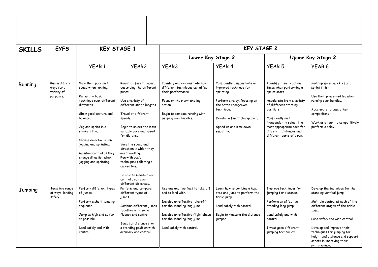| <b>SKILLS</b> | <b>EYFS</b>                                               |                                                                                                                                                                                                                                                                                                                          | <b>KEY STAGE 1</b>                                                                                                                                                                                                                                                                                                                                                                                                                |                                                                                                                                                                                                                        | <b>KEY STAGE 2</b>                                                                                                                                                                                              |                                                                                                                                                                                                                                                                             |                                                                                                                                                                                                                                                                                                                    |
|---------------|-----------------------------------------------------------|--------------------------------------------------------------------------------------------------------------------------------------------------------------------------------------------------------------------------------------------------------------------------------------------------------------------------|-----------------------------------------------------------------------------------------------------------------------------------------------------------------------------------------------------------------------------------------------------------------------------------------------------------------------------------------------------------------------------------------------------------------------------------|------------------------------------------------------------------------------------------------------------------------------------------------------------------------------------------------------------------------|-----------------------------------------------------------------------------------------------------------------------------------------------------------------------------------------------------------------|-----------------------------------------------------------------------------------------------------------------------------------------------------------------------------------------------------------------------------------------------------------------------------|--------------------------------------------------------------------------------------------------------------------------------------------------------------------------------------------------------------------------------------------------------------------------------------------------------------------|
|               |                                                           |                                                                                                                                                                                                                                                                                                                          |                                                                                                                                                                                                                                                                                                                                                                                                                                   | Lower Key Stage 2                                                                                                                                                                                                      |                                                                                                                                                                                                                 |                                                                                                                                                                                                                                                                             | Upper Key Stage 2                                                                                                                                                                                                                                                                                                  |
|               |                                                           | YEAR <sub>1</sub>                                                                                                                                                                                                                                                                                                        | YEAR <sub>2</sub>                                                                                                                                                                                                                                                                                                                                                                                                                 | YEAR3                                                                                                                                                                                                                  | <b>YEAR 4</b>                                                                                                                                                                                                   | <b>YEAR 5</b>                                                                                                                                                                                                                                                               | YEAR <sub>6</sub>                                                                                                                                                                                                                                                                                                  |
| Running       | Run in different<br>ways for a<br>variety of<br>purposes. | Vary their pace and<br>speed when running.<br>Run with a basic<br>technique over different<br>distances.<br>Show good posture and<br>balance.<br>Jog and sprint in a<br>straight line.<br>Change direction when<br>jogging and sprinting.<br>Maintain control as they<br>change direction when<br>jogging and sprinting. | Run at different paces,<br>describing the different<br>paces.<br>Use a variety of<br>different stride lengths.<br>Travel at different<br>speeds.<br>Begin to select the most<br>suitable pace and speed<br>for distance.<br>Vary the speed and<br>direction in which they<br>are travelling.<br>Run with basic<br>techniques following a<br>curved line.<br>Be able to maintain and<br>control a run over<br>different distances. | Identify and demonstrate how<br>different techniques can affect<br>their performance.<br>Focus on their arm and leg<br>action.<br>Begin to combine running with<br>jumping over hurdles.                               | Confidently demonstrate an<br>improved technique for<br>sprinting.<br>Perform a relay, focusing on<br>the baton changeover<br>technique.<br>Develop a fluent changeover.<br>Speed up and slow down<br>smoothly. | Identify their reaction<br>times when performing a<br>sprint start.<br>Accelerate from a variety<br>of different starting<br>positions.<br>Confidently and<br>independently select the<br>most appropriate pace for<br>different distances and<br>different parts of a run. | Build up speed quickly for a<br>sprint finish.<br>Use their preferred leg when<br>running over hurdles.<br>Accelerate to pass other<br>competitors<br>Work as a team to competitively<br>perform a relay.                                                                                                          |
| Jumping       | Jump in a range<br>of ways, landing<br>safely.            | Perform different types<br>of jumps.<br>Perform a short jumping<br>sequence.<br>Jump as high and as far<br>as possible.<br>Land safely and with<br>control.                                                                                                                                                              | Perform and compare<br>different types of<br>jumps.<br>Combine different jumps<br>together with some<br>fluency and control.<br>Jump for distance from<br>a standing position with<br>accuracy and control.                                                                                                                                                                                                                       | Use one and two feet to take off<br>and to land with.<br>Develop an effective take-off<br>for the standing long jump.<br>Develop an effective flight phase<br>for the standing long jump.<br>Land safely with control. | Learn how to combine a hop.<br>step and jump to perform the<br>triple jump.<br>Land safely with control.<br>Begin to measure the distance<br>jumped.                                                            | Improve techniques for<br>jumping for distance.<br>Perform an effective<br>standing long jump.<br>Land safely and with<br>control.<br>Investigate different<br>jumping techniques.                                                                                          | Develop the technique for the<br>standing vertical jump.<br>Maintain control at each of the<br>different stages of the triple<br>jump.<br>Land safely and with control.<br>Develop and improve their<br>techniques for jumping for<br>height and distance and support<br>others in improving their<br>performance. |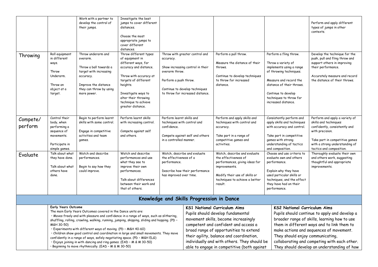|                     |                                                                                                                                                                                                                                                                                                                                                                                                                                                                                                                                                                                                                                                                              | Work with a partner to<br>develop the control of<br>their jumps.                                                                                                  | Investigate the best<br>jumps to cover different<br>distances.<br>Choose the most<br>appropriate jumps to<br>cover different<br>distances.                                                                                                          |                                                                                                                                       |                                                                                                                                          |                                                                                                                                                                                                                                                                                                                                               |                                                                                                                                                                                                                                     | Perform and apply different<br>types of jumps in other<br>contexts.                                                                                                                                                                                                                                                                                              |  |
|---------------------|------------------------------------------------------------------------------------------------------------------------------------------------------------------------------------------------------------------------------------------------------------------------------------------------------------------------------------------------------------------------------------------------------------------------------------------------------------------------------------------------------------------------------------------------------------------------------------------------------------------------------------------------------------------------------|-------------------------------------------------------------------------------------------------------------------------------------------------------------------|-----------------------------------------------------------------------------------------------------------------------------------------------------------------------------------------------------------------------------------------------------|---------------------------------------------------------------------------------------------------------------------------------------|------------------------------------------------------------------------------------------------------------------------------------------|-----------------------------------------------------------------------------------------------------------------------------------------------------------------------------------------------------------------------------------------------------------------------------------------------------------------------------------------------|-------------------------------------------------------------------------------------------------------------------------------------------------------------------------------------------------------------------------------------|------------------------------------------------------------------------------------------------------------------------------------------------------------------------------------------------------------------------------------------------------------------------------------------------------------------------------------------------------------------|--|
| Throwing            | Roll equipment<br>in different<br>ways.<br>Throw<br>Underarm.<br>Throw an<br>object at a<br>target.                                                                                                                                                                                                                                                                                                                                                                                                                                                                                                                                                                          | Throw underarm and<br>overarm.<br>Throw a ball towards a<br>target with increasing<br>accuracy.<br>Improve the distance<br>they can throw by using<br>more power. | Throw different types<br>of equipment in<br>different ways, for<br>accuracy and distance.<br>Throw with accuracy at<br>targets of different<br>heights.<br>Investigate ways to<br>alter their throwing<br>technique to achieve<br>greater distance. | accuracy.<br>overarm throw.<br>Perform a push throw.                                                                                  | Throw with greater control and<br>Show increasing control in their<br>Continue to develop techniques<br>to throw for increased distance. | Perform a pull throw.<br>Measure the distance of their<br>throws.<br>Continue to develop techniques<br>to throw for increased<br>distance.                                                                                                                                                                                                    | Perform a fling throw.<br>Throw a variety of<br>implements using a range<br>of throwing techniques.<br>Measure and record the<br>distance of their throws.<br>Continue to develop<br>techniques to throw for<br>increased distance. | Develop the technique for the<br>push, pull and fling throw and<br>support others in improving<br>their performance.<br>Accurately measure and record<br>the distance of their throws.                                                                                                                                                                           |  |
| Compete/<br>perform | Control their<br>body, when<br>performing a<br>sequence of<br>movements.<br>Participate in<br>simple games.                                                                                                                                                                                                                                                                                                                                                                                                                                                                                                                                                                  | Begin to perform learnt<br>skills with some control.<br>Engage in competitive<br>activities and team<br>games.                                                    | Perform learnt skills<br>with increasing control.<br>Compete against self<br>and others.                                                                                                                                                            | Perform learnt skills and<br>techniques with control and<br>confidence.<br>Compete against self and others<br>in a controlled manner. |                                                                                                                                          | Perform and apply skills and<br>techniques with control and<br>accuracy.<br>Take part in a range of<br>competitive games and<br>activities.                                                                                                                                                                                                   | Consistently perform and<br>apply skills and techniques<br>with accuracy and control.<br>Take part in competitive<br>games with strong<br>understanding of tactics<br>and composition.                                              | Perform and apply a variety of<br>skills and techniques<br>confidently, consistently and<br>with precision.<br>Take part in competitive games<br>with a strong understanding of<br>tactics and composition.                                                                                                                                                      |  |
| Evaluate            | Talk about what<br>they have done.<br>Talk about what<br>others have<br>done.                                                                                                                                                                                                                                                                                                                                                                                                                                                                                                                                                                                                | Watch and describe<br>performances.<br>Begin to say how they<br>could improve.                                                                                    | Watch and describe<br>performances and use<br>what they see to<br>improve their own<br>performances.<br>Talk about differences<br>between their work and<br>that of others.                                                                         | Watch, describe and evaluate<br>the effectiveness of a<br>performance.<br>Describe how their performance<br>has improved over time.   |                                                                                                                                          | Watch, describe and evaluate<br>the effectiveness of<br>performances, giving ideas for<br>improvements.<br>Modify their use of skills or<br>techniques to achieve a better<br>result.                                                                                                                                                         | Choose and use criteria to<br>evaluate own and others<br>performance.<br>Explain why they have<br>used particular skills or<br>techniques, and the effect<br>they have had on their<br>performance.                                 | Thoroughly evaluate their own<br>and others work, suggesting<br>thoughtful and appropriate<br>improvements.                                                                                                                                                                                                                                                      |  |
|                     |                                                                                                                                                                                                                                                                                                                                                                                                                                                                                                                                                                                                                                                                              |                                                                                                                                                                   |                                                                                                                                                                                                                                                     |                                                                                                                                       | Knowledge and Skills Progression in Dance                                                                                                |                                                                                                                                                                                                                                                                                                                                               |                                                                                                                                                                                                                                     |                                                                                                                                                                                                                                                                                                                                                                  |  |
|                     | <b>Early Years Outcome</b><br>The main Early Years Outcomes covered in the Dance units are:<br>. Moves freely and with pleasure and confidence in a range of ways, such as slithering,<br>shuffling, rolling, crawling, walking, running, jumping, skipping, sliding and hopping. (PD -<br>M&H 30-50)<br>• Experiments with different ways of moving. (PD - M&H 40-60)<br>. Children show good control and coordination in large and small movements. They move<br>confidently in a range of ways, safely negotiating space. (PD - M&H ELG)<br>• Enjoys joining in with dancing and ring games. (EAD - M & M 30-50)<br>· Beginning to move rhythmically. (EAD - M & M 30-50) |                                                                                                                                                                   |                                                                                                                                                                                                                                                     |                                                                                                                                       |                                                                                                                                          | <b>KS1 National Curriculum Aims</b><br>Pupils should develop fundamental<br>movement skills, become increasingly<br>competent and confident and access a<br>broad range of opportunities to extend<br>their agility, balance and coordination,<br>individually and with others. They should be<br>able to engage in competitive (both against |                                                                                                                                                                                                                                     | <b>KS2 National Curriculum Aims</b><br>Pupils should continue to apply and develop a<br>broader range of skills, learning how to use<br>them in different ways and to link them to<br>make actions and sequences of movement.<br>They should enjoy communicating,<br>collaborating and competing with each other.<br>They should develop an understanding of how |  |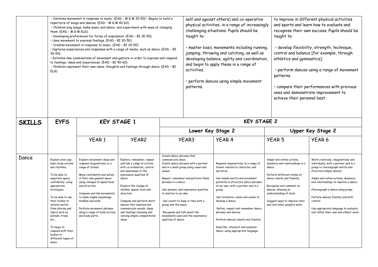|               | · Imitates movement in response to music. (EAD - M & M 30-50) · Begins to build a<br>repertoire of songs and dances. (EAD - M & M 40-60)<br>· Children sing songs, make music and dance, and experiment with ways of changing<br>them. $(EAD - M & MELG)$<br>· Developing preferences for forms of expression. (EAD - BI 30-50)<br>Uses movement to express feelings. (EAD - BI 30-50)<br>· Creates movement in response to music. (EAD - BI 30-50)<br>• Captures experiences and responses with a range of media, such as dance. (EAD - BI<br>$30-50$<br>· Initiates new combinations of movement and gesture in order to express and respond<br>to feelings, ideas and experiences. (EAD - BI 40-60)<br>. Children represent their own ideas, thoughts and feelings through dance. (EAD - BI<br>ELG<br><b>KEY STAGE 1</b> |                                                                                                                                                                                                                                                                                                                                                               |                                                                                                                                                                                                                                                                                                                                                                                    |                                                                                                                                                                                                                                                                                                                                                                                                                                    |                    | self and against others) and co-operative<br>physical activities, in a range of increasingly<br>challenging situations. Pupils should be<br>· master basic movements including running,<br>jumping, throwing and catching, as well as<br>developing balance, agility and coordination,<br>and begin to apply these in a range of<br>· perform dances using simple movement                                                                            | taught to:<br>athletics and gymnastics];<br>patterns.<br>achieve their personal best.                                                                                                                                                                                              | to improve in different physical activities<br>and sports and learn how to evaluate and<br>recognise their own success. Pupils should be<br>· develop flexibility, strength, technique,<br>control and balance [for example, through<br>· perform dances using a range of movement<br>· compare their performances with previous<br>ones and demonstrate improvement to                         |  |
|---------------|-----------------------------------------------------------------------------------------------------------------------------------------------------------------------------------------------------------------------------------------------------------------------------------------------------------------------------------------------------------------------------------------------------------------------------------------------------------------------------------------------------------------------------------------------------------------------------------------------------------------------------------------------------------------------------------------------------------------------------------------------------------------------------------------------------------------------------|---------------------------------------------------------------------------------------------------------------------------------------------------------------------------------------------------------------------------------------------------------------------------------------------------------------------------------------------------------------|------------------------------------------------------------------------------------------------------------------------------------------------------------------------------------------------------------------------------------------------------------------------------------------------------------------------------------------------------------------------------------|------------------------------------------------------------------------------------------------------------------------------------------------------------------------------------------------------------------------------------------------------------------------------------------------------------------------------------------------------------------------------------------------------------------------------------|--------------------|-------------------------------------------------------------------------------------------------------------------------------------------------------------------------------------------------------------------------------------------------------------------------------------------------------------------------------------------------------------------------------------------------------------------------------------------------------|------------------------------------------------------------------------------------------------------------------------------------------------------------------------------------------------------------------------------------------------------------------------------------|-------------------------------------------------------------------------------------------------------------------------------------------------------------------------------------------------------------------------------------------------------------------------------------------------------------------------------------------------------------------------------------------------|--|
| <b>SKILLS</b> | <b>EYFS</b>                                                                                                                                                                                                                                                                                                                                                                                                                                                                                                                                                                                                                                                                                                                                                                                                                 |                                                                                                                                                                                                                                                                                                                                                               |                                                                                                                                                                                                                                                                                                                                                                                    |                                                                                                                                                                                                                                                                                                                                                                                                                                    | <b>KEY STAGE 2</b> |                                                                                                                                                                                                                                                                                                                                                                                                                                                       |                                                                                                                                                                                                                                                                                    |                                                                                                                                                                                                                                                                                                                                                                                                 |  |
|               |                                                                                                                                                                                                                                                                                                                                                                                                                                                                                                                                                                                                                                                                                                                                                                                                                             |                                                                                                                                                                                                                                                                                                                                                               |                                                                                                                                                                                                                                                                                                                                                                                    |                                                                                                                                                                                                                                                                                                                                                                                                                                    | Lower Key Stage 2  |                                                                                                                                                                                                                                                                                                                                                                                                                                                       |                                                                                                                                                                                                                                                                                    | Upper Key Stage 2                                                                                                                                                                                                                                                                                                                                                                               |  |
|               |                                                                                                                                                                                                                                                                                                                                                                                                                                                                                                                                                                                                                                                                                                                                                                                                                             | <b>YEAR1</b>                                                                                                                                                                                                                                                                                                                                                  | YEAR <sub>2</sub>                                                                                                                                                                                                                                                                                                                                                                  |                                                                                                                                                                                                                                                                                                                                                                                                                                    | YEAR3              | <b>YEAR 4</b>                                                                                                                                                                                                                                                                                                                                                                                                                                         | <b>YEAR 5</b>                                                                                                                                                                                                                                                                      | YEAR <sub>6</sub>                                                                                                                                                                                                                                                                                                                                                                               |  |
| Dance         | Explore and copy<br>basic body actions<br>and rhythms.<br>To be able to<br>negotiate space<br>confidently, using<br>appropriate<br>strategies.<br>To be able to use<br>their bodies to<br>imitate motifs<br>from stories and<br>topics such as<br>animals, trees,<br>etc<br>To begin to<br>respond with their<br>bodies to<br>different types of<br>music.                                                                                                                                                                                                                                                                                                                                                                                                                                                                  | Explore movement ideas and<br>respond imaginatively to a<br>range of stimuli.<br>Move confidently and safely<br>in their own general space<br>using changes of speed level<br>and direction.<br>Compose and link movements<br>to make simple beginnings,<br>middles and ends.<br>Perform movement phrases<br>using a range of body actions<br>and body parts. | Explore, remember, repeat<br>and link a range of actions<br>with co-ordination, control<br>and awareness of the<br>expressive qualities of<br>dance.<br>Explore the change of<br>rhythm, speed, level and<br>direction.<br>Compose and perform short<br>dances that express and<br>communicate moods, ideas<br>and feelings choosing and<br>varying simple compositional<br>ideas. | Create dance phrases that<br>communicate ideas.<br>Create dance phrases with a partner<br>and in a small group using canon and<br>unison.<br>Repeat, remember and perform these<br>phrases in a dance.<br>Use dynamic and expressive qualities<br>in relation to an idea.<br>Use counts to keep in time with a<br>group and the music.<br>Recognise and talk about the<br>movements used and the expressive<br>qualities of dance. |                    | Respond imaginatively to a range of<br>stimuli related to character and<br>narrative.<br>Use simple motifs and movement<br>patterns to structure dance phrases<br>on my own, with a partner and in a<br>group.<br>Use formation, canon and unison to<br>develop a dance.<br>Refine, repeat and remember dance<br>phrases and dances.<br>Perform dances clearly and fluently.<br>Describe, interpret and evaluate<br>dance, using appropriate language | Adapt and refine actions.<br>dynamics and relationships in a<br>dance.<br>Perform different styles of<br>dance clearly and fluently.<br>Recognise and comment on<br>dances, showing an<br>understanding of style.<br>Suggest ways to improve their<br>own and other people's work. | Work creatively, imaginatively and<br>individually, with a partner and in a<br>group to choreograph motifs and<br>structure simple dances.<br>Adapt and refine actions, dynamics<br>and relationships to improve a dance.<br>Choreograph a dance using props.<br>Perform dances fluently and with<br>control.<br>Use appropriate language to evaluate<br>and refine their own and others' work. |  |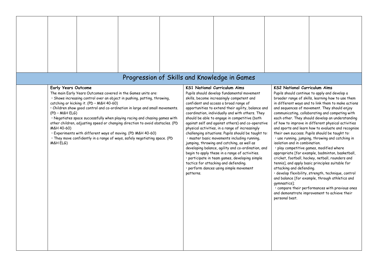|                                                                                                                                                                                                                                                                                                                                                                                                                                                                                                                                                                                                                                                            | Progression of Skills and Knowledge in Games |           |                                                                                                                                                                                                                                                                                                                                                                                                                                                                                                                                                                                                                                                                                                                                                                                                                                            |                                                                                                                                    |                                                                                                                                                                                                                                                                                                                                                                                                                                                                                                                                                                                                                                                                                                                                                                                                                                                                                                                                                        |
|------------------------------------------------------------------------------------------------------------------------------------------------------------------------------------------------------------------------------------------------------------------------------------------------------------------------------------------------------------------------------------------------------------------------------------------------------------------------------------------------------------------------------------------------------------------------------------------------------------------------------------------------------------|----------------------------------------------|-----------|--------------------------------------------------------------------------------------------------------------------------------------------------------------------------------------------------------------------------------------------------------------------------------------------------------------------------------------------------------------------------------------------------------------------------------------------------------------------------------------------------------------------------------------------------------------------------------------------------------------------------------------------------------------------------------------------------------------------------------------------------------------------------------------------------------------------------------------------|------------------------------------------------------------------------------------------------------------------------------------|--------------------------------------------------------------------------------------------------------------------------------------------------------------------------------------------------------------------------------------------------------------------------------------------------------------------------------------------------------------------------------------------------------------------------------------------------------------------------------------------------------------------------------------------------------------------------------------------------------------------------------------------------------------------------------------------------------------------------------------------------------------------------------------------------------------------------------------------------------------------------------------------------------------------------------------------------------|
| <b>Early Years Outcome</b><br>The main Early Years Outcomes covered in the Games units are:<br>· Shows increasing control over an object in pushing, patting, throwing,<br>catching or kicking it. (PD - M&H 40-60)<br>· Children show good control and co-ordination in large and small movements.<br>(PD - M&H ELG)<br>. Negotiates space successfully when playing racing and chasing games with<br>other children, adjusting speed or changing direction to avoid obstacles. (PD<br>M&H 40-60)<br>· Experiments with different ways of moving. (PD M&H 40-60)<br>· They move confidently in a range of ways, safely negotiating space. (PD<br>M&H ELG) |                                              | patterns. | <b>KS1 National Curriculum Aims</b><br>Pupils should develop fundamental movement<br>skills, become increasingly competent and<br>confident and access a broad range of<br>opportunities to extend their agility, balance and<br>coordination, individually and with others. They<br>should be able to engage in competitive (both<br>against self and against others) and co-operative<br>physical activities, in a range of increasingly<br>challenging situations. Pupils should be taught to:<br>· master basic movements including running,<br>jumping, throwing and catching, as well as<br>developing balance, agility and co-ordination, and<br>begin to apply these in a range of activities.<br>· participate in team games, developing simple<br>tactics for attacking and defending.<br>· perform dances using simple movement | <b>KS2 National Curriculum Aims</b><br>isolation and in combination.<br>attacking and defending.<br>gymnastics];<br>personal best. | Pupils should continue to apply and develop a<br>broader range of skills, learning how to use them<br>in different ways and to link them to make actions<br>and sequences of movement. They should enjoy<br>communicating, collaborating and competing with<br>each other. They should develop an understanding<br>of how to improve in different physical activities<br>and sports and learn how to evaluate and recognise<br>their own success. Pupils should be taught to:<br>· use running, jumping, throwing and catching in<br>· play competitive games, modified where<br>appropriate [for example, badminton, basketball,<br>cricket, football, hockey, netball, rounders and<br>tennis], and apply basic principles suitable for<br>· develop flexibility, strength, technique, control<br>and balance [for example, through athletics and<br>· compare their performances with previous ones<br>and demonstrate improvement to achieve their |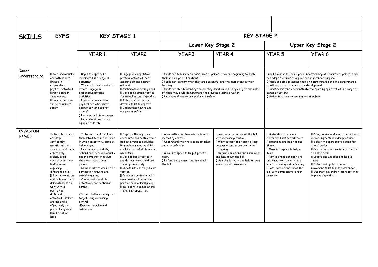| <b>SKILLS</b>                   | <b>EYFS</b>                                                                                                                                                                                                                                                                                                                                                                                                                  |                                                                                                                                                                                                                                                                                                                                                                                                                                                                                                                  | <b>KEY STAGE 1</b>                                                                                                                                                                                                                                                                                                                                                                                                                                           |                                                                                                                                                                                                                                                                                                                                                                                                          | <b>KEY STAGE 2</b>                                                                                                                                             |                                                                                                                                                                                                                                                                                                                                                                                                            |                                                                                                                                                                                                                                                                                                                            |                                                                                                                                                                                                                                                                                                                                                                                       |  |  |
|---------------------------------|------------------------------------------------------------------------------------------------------------------------------------------------------------------------------------------------------------------------------------------------------------------------------------------------------------------------------------------------------------------------------------------------------------------------------|------------------------------------------------------------------------------------------------------------------------------------------------------------------------------------------------------------------------------------------------------------------------------------------------------------------------------------------------------------------------------------------------------------------------------------------------------------------------------------------------------------------|--------------------------------------------------------------------------------------------------------------------------------------------------------------------------------------------------------------------------------------------------------------------------------------------------------------------------------------------------------------------------------------------------------------------------------------------------------------|----------------------------------------------------------------------------------------------------------------------------------------------------------------------------------------------------------------------------------------------------------------------------------------------------------------------------------------------------------------------------------------------------------|----------------------------------------------------------------------------------------------------------------------------------------------------------------|------------------------------------------------------------------------------------------------------------------------------------------------------------------------------------------------------------------------------------------------------------------------------------------------------------------------------------------------------------------------------------------------------------|----------------------------------------------------------------------------------------------------------------------------------------------------------------------------------------------------------------------------------------------------------------------------------------------------------------------------|---------------------------------------------------------------------------------------------------------------------------------------------------------------------------------------------------------------------------------------------------------------------------------------------------------------------------------------------------------------------------------------|--|--|
|                                 |                                                                                                                                                                                                                                                                                                                                                                                                                              |                                                                                                                                                                                                                                                                                                                                                                                                                                                                                                                  |                                                                                                                                                                                                                                                                                                                                                                                                                                                              |                                                                                                                                                                                                                                                                                                                                                                                                          | Lower Key Stage 2                                                                                                                                              |                                                                                                                                                                                                                                                                                                                                                                                                            | Upper Key Stage 2                                                                                                                                                                                                                                                                                                          |                                                                                                                                                                                                                                                                                                                                                                                       |  |  |
|                                 |                                                                                                                                                                                                                                                                                                                                                                                                                              | <b>YEAR1</b>                                                                                                                                                                                                                                                                                                                                                                                                                                                                                                     | YEAR <sub>2</sub>                                                                                                                                                                                                                                                                                                                                                                                                                                            |                                                                                                                                                                                                                                                                                                                                                                                                          | <b>YEAR3</b>                                                                                                                                                   | <b>YEAR 4</b>                                                                                                                                                                                                                                                                                                                                                                                              | <b>YEAR 5</b>                                                                                                                                                                                                                                                                                                              | YEAR <sub>6</sub>                                                                                                                                                                                                                                                                                                                                                                     |  |  |
| Games<br>Understanding          | <b>I</b> Work individually<br>and with others.<br>Engage in<br>cooperative<br>physical activities<br><b>I</b> Participate in<br>team games.<br>I Understand how<br>to use equipment<br>safely.                                                                                                                                                                                                                               | <b>I</b> Begin to apply basic<br>movements in a range of<br>activities<br>I Work individually and with<br>others. Engage in<br>cooperative physical<br>activities.<br>I Engage in competitive<br>physical activities (both<br>against self and against<br>others)<br>Il Participate in team games.<br>I Understand how to use<br>equipment safely.                                                                                                                                                               | Il Engage in competitive<br>physical activities (both<br>against self and against<br>others)<br>Il Participate in team games<br>I Developing simple tactics<br>for attacking and defending.<br>I Able to reflect on and<br>develop skills to improve.<br>I Understand how to use<br>equipment safely.                                                                                                                                                        | I Pupils are familiar with basic rules of games. They are beginning to apply<br>them in a range of situations.<br>I Pupils can identify when they are successful and the next steps in their<br>learning<br>I Pupils are able to identify the sporting spirit values. They can give examples<br>of when they could demonstrate them during a game situation.<br>I Understand how to use equipment safely |                                                                                                                                                                | Pupils are able to show a good understanding of a variety of games. They<br>can adapt the rules of a game for an intended purpose.<br>I Pupils are able to assess their own performance and the performance<br>of others to identify areas for development.<br>I Pupils consistently demonstrate the sporting spirit values in a range of<br>games situations<br>I Understand how to use equipment safely. |                                                                                                                                                                                                                                                                                                                            |                                                                                                                                                                                                                                                                                                                                                                                       |  |  |
| <b>INVASION</b><br><b>GAMES</b> | To be able to move<br>and stop<br>confidently,<br>negotiating the<br>space around them<br>effectively.<br>I Show good<br>control over their<br>bodies when<br>exploring<br>different skills.<br>I Start showing an<br>ability to use their<br>dominate hand to<br>work with a<br>partner in<br>different<br>activities, Explore<br>and use skills<br>effectively for<br>particular games:<br><b>N</b> Roll a ball or<br>hoop | I To be confident and keep<br>themselves safe in the space<br>in which an activity/game is<br>being played.<br>I Explore and use skills.<br>actions and ideas individually<br>and in combination to suit<br>the game that is being<br>plaved.<br>I Show ability to work with a<br>partner in throwing and<br>catching games.<br>I Choose and use skills<br>effectively for particular<br>games:<br>-Throw a ball accurately to a<br>target using increasing<br>control.,<br>-Explore throwing and<br>catching in | I Improve the way they<br>coordinate and control their<br>bodies in various activities.<br>Remember, repeat and link<br>combinations of skills where<br>necessary.<br><b>I</b> Develop basic tactics in<br>simple team games and use<br>them appropriately.<br>I Choose use and vary simple<br>tactics.<br>I Catch and control a ball in<br>movement working with a<br>partner or in a small group.<br>I Take part in games where<br>there is an opposition. | increasing control.<br>and as a defender<br>the ball.                                                                                                                                                                                                                                                                                                                                                    | I Move with a ball towards goals with<br>Il Understand their role as an attacker<br>I Move into space to help support a<br>I Defend an opponent and try to win | I Pass, receive and shoot the ball<br>with increasing control.<br>I Work as part of a team to keep<br>possession and score goals when<br>attacking.<br>I Defend one on one and know when<br>and how to win the ball.<br>I Use simple tactics to help a team<br>score or gain possession.                                                                                                                   | I Understand there are<br>different skills for different<br>I situations and begin to use<br>these.<br>I Move into space to help a<br>team.<br>I Play in a range of positions<br>and know how to contribute<br>when attacking and defending.<br>I Pass, receive and shoot the<br>ball with some control under<br>pressure. | I Pass, receive and shoot the ball with<br>increasing control under pressure.<br>I Select the appropriate action for<br>the situation.<br>I Create and use a variety of tactics<br>to help a team.<br>I Create and use space to help a<br>team.<br>I Select and apply different<br>movement skills to lose a defender.<br>I Use marking, and/or interception to<br>improve defending. |  |  |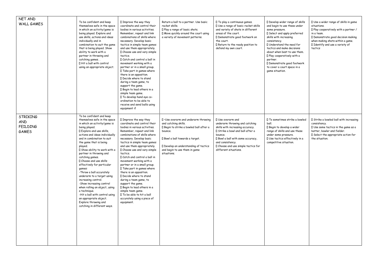| NET AND<br><b>WALL GAMES</b>                              | To be confident and keep<br>themselves safe in the space<br>in which an activity/game is<br>being played. Explore and<br>use skills, actions and ideas<br>individually and in<br>combination to suit the game<br>that is being played. Show<br>ability to work with a<br>partner in throwing and<br>catching games<br>I Hit a ball with control<br>using an appropriate object.                                                                                                                                                                                                                                                                                                 | I Improve the way they<br>coordinate and control their<br>bodies in various activities.<br>Remember, repeat and link<br>combinations of skills where<br>necessary. Develop basic<br>tactics in simple team games<br>and use them appropriately.<br>I Choose use and vary simple<br>tactics.<br>I Catch and control a ball in<br>movement working with a<br>partner or in a small group.<br>I Take part in games where<br>there is an opposition.<br>Decide where to stand<br>during a team game, to<br>support the game.<br>I Begin to lead others in a<br>simple team game.<br>I To develop hand eye co-<br>ordination to be able to<br>receive and send balls using<br>equipment if | Return a ball to a partner. Use basic<br>racket skills.<br>I Play a range of basic shots.<br>I Move quickly around the court using<br>a variety of movement patterns.                                                                           | I To play a continuous games.<br>I Use a range of basic racket skills<br>and variety of shots in different<br>areas of the court.<br>I Demonstrate good footwork on<br>the court.<br>I Return to the ready position to<br>defend my own court.                  | Il Develop wider range of skills<br>and begin to use these under<br>some pressure.<br>I Select and apply preferred<br>skills with increasing<br>consistency.<br>I Understand the need for<br>tactics and make decisions<br>about when best to use them.<br>Il Play cooperatively with a<br>partner.<br>I Demonstrate good footwork<br>to cover a court space in a<br>game situation. | I Use a wider range of skills in game<br>situations.<br>I Play cooperatively with a partner /<br>in a team.<br>I Demonstrate good decision making<br>when making shots within a game.<br>I Identify and use a variety of<br>tactics |
|-----------------------------------------------------------|---------------------------------------------------------------------------------------------------------------------------------------------------------------------------------------------------------------------------------------------------------------------------------------------------------------------------------------------------------------------------------------------------------------------------------------------------------------------------------------------------------------------------------------------------------------------------------------------------------------------------------------------------------------------------------|---------------------------------------------------------------------------------------------------------------------------------------------------------------------------------------------------------------------------------------------------------------------------------------------------------------------------------------------------------------------------------------------------------------------------------------------------------------------------------------------------------------------------------------------------------------------------------------------------------------------------------------------------------------------------------------|-------------------------------------------------------------------------------------------------------------------------------------------------------------------------------------------------------------------------------------------------|-----------------------------------------------------------------------------------------------------------------------------------------------------------------------------------------------------------------------------------------------------------------|--------------------------------------------------------------------------------------------------------------------------------------------------------------------------------------------------------------------------------------------------------------------------------------------------------------------------------------------------------------------------------------|-------------------------------------------------------------------------------------------------------------------------------------------------------------------------------------------------------------------------------------|
| <b>STRIKING</b><br><b>AND</b><br><b>FEILDING</b><br>GAMES | To be confident and keep<br>themselves safe in the space<br>in which an activity/game is<br>being played.<br>Il Explore and use skills,<br>actions and ideas individually<br>and in combination to suit<br>the game that is being<br>played.<br>I Show ability to work with a<br>partner in throwing and<br>catching games.<br>I Choose and use skills<br>effectively for particular<br>games:<br>-Throw a ball accurately<br>underarm to a target using<br>increasing control.<br>-Show increasing control<br>when rolling an object, using<br>a technique.<br>-Hit a ball with control using<br>an appropriate object.<br>Explore throwing and<br>catching in different ways. | I Improve the way they<br>coordinate and control their<br>bodies in various activities.<br>Remember, repeat and link<br>combinations of skills where<br>necessary. Develop basic<br>tactics in simple team games<br>and use them appropriately.<br>I Choose use and vary simple<br>tactics.<br>I Catch and control a ball in<br>movement working with a<br>partner or in a small group.<br>I Take part in games where<br>there is an opposition.<br>I Decide where to stand<br>during a team game, to<br>support the game.<br>Il Begin to lead others in a<br>simple team game.<br>I To be able to hit a ball<br>accurately using a piece of<br>equipment.                            | I . Use overarm and underarm throwing<br>and catching skills.<br>I Begin to strike a bowled ball after a<br>bounce.<br>I Bowl a ball towards a target.<br>I Develop an understanding of tactics<br>and begin to use them in game<br>situations. | I Use overarm and<br>underarm throwing and catching<br>skills with increasing accuracy.<br>I Strike a bowl and ball after a<br>bounce.<br>I Bowl a ball with some accuracy,<br>and consistency.<br>I Choose and use simple tactics for<br>different situations. | Il To sometimes strike a bowled<br>ball.<br>Il Begin to develop a wider<br>range of skills and use these<br>under some pressure.<br>Il Use tactics effectively in a<br>competitive situation.                                                                                                                                                                                        | I Strike a bowled ball with increasing<br>consistency.<br>$\Box$ Use some tactics in the game as a<br>batter, bowler and fielder.<br>I Select the appropriate action for<br>the situation.                                          |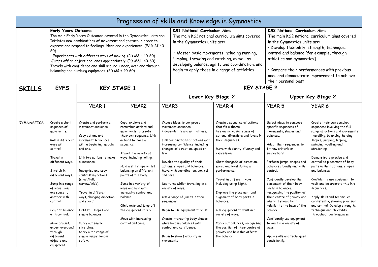|                   |                                                                                                                                                                                                                                                               |                                                                                                                                                                                                                                                                                                                                                 |                                                                                                                                                                                                                                                                                                                                                                                                            |                                                                                                                                                                                                                                                                                                                                                                                                                               | Progression of skills and Knowledge in Gymnastics                                                                                                            |                                                                                                                                                                                                                                                                                                                                                                                                                                     |                                                                                                                                                                                                                                                                                                                                                                                                                                                |                                                                                                                                                                                                                                                                                                                                                                                                                                                                                                                                     |  |  |
|-------------------|---------------------------------------------------------------------------------------------------------------------------------------------------------------------------------------------------------------------------------------------------------------|-------------------------------------------------------------------------------------------------------------------------------------------------------------------------------------------------------------------------------------------------------------------------------------------------------------------------------------------------|------------------------------------------------------------------------------------------------------------------------------------------------------------------------------------------------------------------------------------------------------------------------------------------------------------------------------------------------------------------------------------------------------------|-------------------------------------------------------------------------------------------------------------------------------------------------------------------------------------------------------------------------------------------------------------------------------------------------------------------------------------------------------------------------------------------------------------------------------|--------------------------------------------------------------------------------------------------------------------------------------------------------------|-------------------------------------------------------------------------------------------------------------------------------------------------------------------------------------------------------------------------------------------------------------------------------------------------------------------------------------------------------------------------------------------------------------------------------------|------------------------------------------------------------------------------------------------------------------------------------------------------------------------------------------------------------------------------------------------------------------------------------------------------------------------------------------------------------------------------------------------------------------------------------------------|-------------------------------------------------------------------------------------------------------------------------------------------------------------------------------------------------------------------------------------------------------------------------------------------------------------------------------------------------------------------------------------------------------------------------------------------------------------------------------------------------------------------------------------|--|--|
|                   | <b>Early Years Outcome</b><br>60)                                                                                                                                                                                                                             | Initiates new combinations of movement and gesture in order to<br>· Experiments with different ways of moving. (PD M&H 40-60)<br>Jumps off an object and lands appropriately. (PD M&H 40-60)<br>balancing and climbing equipment. (PD M&H 40-60)                                                                                                | The main Early Years Outcomes covered in the Gymnastics units are:<br>express and respond to feelings, ideas and experiences. (EAD BI 40-<br>Travels with confidence and skill around, under, over and through                                                                                                                                                                                             |                                                                                                                                                                                                                                                                                                                                                                                                                               | <b>KS1 National Curriculum Aims</b><br>in the Gymnastics units are:<br>jumping, throwing and catching, as well as                                            | The main KS1 national curriculum aims covered<br>· Master basic movements including running,<br>developing balance, agility and coordination, and<br>begin to apply these in a range of activities                                                                                                                                                                                                                                  | <b>KS2 National Curriculum Aims</b><br>The main KS2 national curriculum aims covered<br>in the Gymnastics units are:<br>· Develop flexibility, strength, technique,<br>control and balance [for example, through<br>athletics and gymnastics].<br>· Compare their performances with previous<br>ones and demonstrate improvement to achieve<br>their personal best                                                                             |                                                                                                                                                                                                                                                                                                                                                                                                                                                                                                                                     |  |  |
| <b>SKILLS</b>     | <b>EYFS</b>                                                                                                                                                                                                                                                   |                                                                                                                                                                                                                                                                                                                                                 | <b>KEY STAGE 1</b>                                                                                                                                                                                                                                                                                                                                                                                         |                                                                                                                                                                                                                                                                                                                                                                                                                               |                                                                                                                                                              | <b>KEY STAGE 2</b>                                                                                                                                                                                                                                                                                                                                                                                                                  |                                                                                                                                                                                                                                                                                                                                                                                                                                                |                                                                                                                                                                                                                                                                                                                                                                                                                                                                                                                                     |  |  |
|                   |                                                                                                                                                                                                                                                               |                                                                                                                                                                                                                                                                                                                                                 |                                                                                                                                                                                                                                                                                                                                                                                                            |                                                                                                                                                                                                                                                                                                                                                                                                                               | Lower Key Stage 2                                                                                                                                            |                                                                                                                                                                                                                                                                                                                                                                                                                                     |                                                                                                                                                                                                                                                                                                                                                                                                                                                | Upper Key Stage 2                                                                                                                                                                                                                                                                                                                                                                                                                                                                                                                   |  |  |
|                   |                                                                                                                                                                                                                                                               | <b>YEAR1</b>                                                                                                                                                                                                                                                                                                                                    | <b>YEAR2</b>                                                                                                                                                                                                                                                                                                                                                                                               | <b>YEAR3</b>                                                                                                                                                                                                                                                                                                                                                                                                                  |                                                                                                                                                              | <b>YEAR 4</b>                                                                                                                                                                                                                                                                                                                                                                                                                       | <b>YEAR 5</b>                                                                                                                                                                                                                                                                                                                                                                                                                                  | YEAR <sub>6</sub>                                                                                                                                                                                                                                                                                                                                                                                                                                                                                                                   |  |  |
| <b>GYMNASTICS</b> | Create a short<br>sequence of<br>movements.<br>Roll in different<br>ways with<br>control.<br>Travel in<br>different ways.<br>Stretch in<br>different ways.<br>Jump in a range<br>of ways from<br>one space to<br>another with<br>control.<br>Begin to balance | Create and perform a<br>movement sequence.<br>Copy actions and<br>movement sequences<br>with a beginning, middle<br>and end.<br>Link two actions to make<br>a sequence.<br>Recognise and copy<br>contrasting actions<br>(small/tall,<br>narrow/wide).<br>Travel in different<br>ways, changing direction<br>and speed.<br>Hold still shapes and | Copy, explore and<br>remember actions and<br>movements to create<br>their own sequence. Link<br>actions to make a<br>sequence.<br>Travel in a variety of<br>ways, including rolling.<br>Hold a still shape whilst<br>balancing on different<br>points of the body.<br>Jump in a variety of<br>ways and land with<br>increasing control and<br>balance.<br>Climb onto and jump off<br>the equipment safely. | Choose ideas to compose a<br>movement sequence<br>independently and with others.<br>Link combinations of actions with<br>increasing confidence, including<br>changes of direction, speed or<br>level.<br>Develop the quality of their<br>actions, shapes and balances.<br>Move with coordination, control<br>and care.<br>Use turns whilst travelling in a<br>variety of ways.<br>Use a range of jumps in their<br>sequences. |                                                                                                                                                              | Create a sequence of actions<br>that fit a theme.<br>Use an increasing range of<br>actions, directions and levels in<br>their sequences.<br>Move with clarity, fluency and<br>expression.<br>Show changeSs of direction,<br>speed and level during a<br>performance.<br>Travel in different ways,<br>including using flight.<br>Improve the placement and<br>alignment of body parts in<br>balances.<br>Use equipment to vault in a | Select ideas to compose<br>specific sequences of<br>movements, shapes and<br>balances.<br>Adapt their sequences to<br>fit new criteria or<br>suggestions.<br>Perform jumps, shapes and<br>balances fluently and with<br>control.<br>Confidently develop the<br>placement of their body<br>parts in balances,<br>recognising the position of<br>their centre of gravity and<br>where it should be in<br>relation to the base of the<br>balance. | Create their own complex<br>sequences involving the full<br>range of actions and movements:<br>travelling, balancing, holding<br>shapes, jumping, leaping,<br>swinging, vaulting and<br>stretching.<br>Demonstrate precise and<br>controlled placement of body<br>parts in their actions, shapes<br>and balances.<br>Confidently use equipment to<br>vault and incorporate this into<br>sequences.<br>Apply skills and techniques<br>consistently, showing precision<br>and control. Develop strength,<br>technique and flexibility |  |  |
|                   | with control.<br>Move around,<br>under, over, and<br>through<br>different<br>objects and<br>equipment.                                                                                                                                                        | simple balances.<br>Carry out simple<br>stretches.<br>Carry out a range of<br>simple jumps, landing<br>safely.                                                                                                                                                                                                                                  | Move with increasing<br>control and care.                                                                                                                                                                                                                                                                                                                                                                  | movements                                                                                                                                                                                                                                                                                                                                                                                                                     | Begin to use equipment to vault.<br>Create interesting body shapes<br>while holding balances with<br>control and confidence.<br>Begin to show flexibility in | variety of ways.<br>Carry out balances, recognising<br>the position of their centre of<br>gravity and how this affects<br>the balance.                                                                                                                                                                                                                                                                                              | Confidently use equipment<br>to vault in a variety of<br>ways.<br>Apply skills and techniques<br>consistently.                                                                                                                                                                                                                                                                                                                                 | throughout performances                                                                                                                                                                                                                                                                                                                                                                                                                                                                                                             |  |  |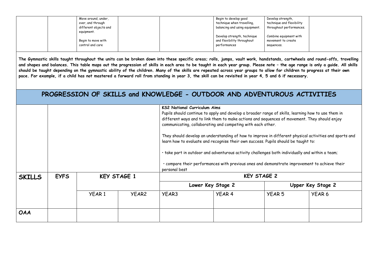| Move around, under,   | Begin to develop good          | Develop strength,         |  |
|-----------------------|--------------------------------|---------------------------|--|
| over, and through     | technique when travelling,     | technique and flexibility |  |
| different objects and | balancing and using equipment. | throughout performances.  |  |
| equipment.            |                                |                           |  |
|                       | Develop strength, technique    | Combine equipment with    |  |
| Begin to move with    | and flexibility throughout     | movement to create        |  |
| control and care      | performances                   | sequences.                |  |
|                       |                                |                           |  |

**The Gymnastic skills taught throughout the units can be broken down into these specific areas; rolls, jumps, vault work, handstands, cartwheels and round-offs, travelling**  and shapes and balances. This table maps out the progression of skills in each area to be taught in each year group. Please note - the age range is only a guide. All skills **should be taught depending on the gymnastic ability of the children. Many of the skills are repeated across year groups to allow for children to progress at their own pace. For example, if a child has not mastered a forward roll from standing in year 3, the skill can be revisited in year 4, 5 and 6 if necessary.**

### **PROGRESSION OF SKILLS and KNOWLEDGE - OUTDOOR AND ADVENTUROUS ACTIVITIES**

|               |             |                    |                   | <b>KS2 National Curriculum Aims</b><br>Pupils should continue to apply and develop a broader range of skills, learning how to use them in<br>different ways and to link them to make actions and sequences of movement. They should enjoy<br>communicating, collaborating and competing with each other.<br>They should develop an understanding of how to improve in different physical activities and sports and<br>learn how to evaluate and recognise their own success. Pupils should be taught to:<br>· take part in outdoor and adventurous activity challenges both individually and within a team;<br>· compare their performances with previous ones and demonstrate improvement to achieve their<br>personal best |                   |                    |                   |  |  |
|---------------|-------------|--------------------|-------------------|------------------------------------------------------------------------------------------------------------------------------------------------------------------------------------------------------------------------------------------------------------------------------------------------------------------------------------------------------------------------------------------------------------------------------------------------------------------------------------------------------------------------------------------------------------------------------------------------------------------------------------------------------------------------------------------------------------------------------|-------------------|--------------------|-------------------|--|--|
| <b>SKILLS</b> | <b>EYFS</b> | <b>KEY STAGE 1</b> |                   |                                                                                                                                                                                                                                                                                                                                                                                                                                                                                                                                                                                                                                                                                                                              |                   | <b>KEY STAGE 2</b> |                   |  |  |
|               |             |                    |                   |                                                                                                                                                                                                                                                                                                                                                                                                                                                                                                                                                                                                                                                                                                                              | Lower Key Stage 2 |                    | Upper Key Stage 2 |  |  |
|               |             | YEAR <sub>1</sub>  | YEAR <sub>2</sub> | YEAR3                                                                                                                                                                                                                                                                                                                                                                                                                                                                                                                                                                                                                                                                                                                        | YEAR 4            | <b>YEAR 5</b>      | YEAR 6            |  |  |
| <b>OAA</b>    |             |                    |                   |                                                                                                                                                                                                                                                                                                                                                                                                                                                                                                                                                                                                                                                                                                                              |                   |                    |                   |  |  |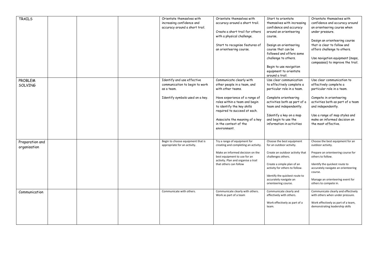| TRAILS                          |  | Orientate themselves with<br>increasing confidence and<br>accuracy around a short trail.                      | Orientate themselves with<br>accuracy around a short trail.<br>Create a short trail for others<br>with a physical challenge.<br>Start to recognise features of<br>an orienteering course.                                                                                               | Start to orientate<br>themselves with increasing<br>confidence and accuracy<br>around an orienteering<br>course.<br>Design an orienteering<br>course that can be<br>followed and offers some<br>challenge to others.<br>Begin to use navigation<br>equipment to orientate<br>around a trail. | Orientate themselves with<br>confidence and accuracy around<br>an orienteering course when<br>under pressure.<br>Design an orienteering course<br>that is clear to follow and<br>offers challenge to others.<br>Use navigation equipment (maps,<br>compasses) to improve the trail. |
|---------------------------------|--|---------------------------------------------------------------------------------------------------------------|-----------------------------------------------------------------------------------------------------------------------------------------------------------------------------------------------------------------------------------------------------------------------------------------|----------------------------------------------------------------------------------------------------------------------------------------------------------------------------------------------------------------------------------------------------------------------------------------------|-------------------------------------------------------------------------------------------------------------------------------------------------------------------------------------------------------------------------------------------------------------------------------------|
| <b>PROBLEM</b><br>SOLVING       |  | Identify and use effective<br>communication to begin to work<br>as a team.<br>Identify symbols used on a key. | Communicate clearly with<br>other people in a team, and<br>with other teams.<br>Have experience of a range of<br>roles within a team and begin<br>to identify the key skills<br>required to succeed at each.<br>Associate the meaning of a key<br>in the context of the<br>environment. | Use clear communication<br>to effectively complete a<br>particular role in a team.<br>Complete orienteering<br>activities both as part of a<br>team and independently.<br>Identify a key on a map<br>and begin to use the<br>information in activities                                       | Use clear communication to<br>effectively complete a<br>particular role in a team.<br>Compete in orienteering<br>activities both as part of a team<br>and independently.<br>Use a range of map styles and<br>make an informed decision on<br>the most effective.                    |
| Preparation and<br>organisation |  | Begin to choose equipment that is<br>appropriate for an activity.                                             | Try a range of equipment for<br>creating and completing an activity.<br>Make an informed decision on the<br>best equipment to use for an<br>activity. Plan and organise a trail<br>that others can follow                                                                               | Choose the best equipment<br>for an outdoor activity.<br>Create an outdoor activity that<br>challenges others.<br>Create a simple plan of an<br>activity for others to follow.<br>Identify the quickest route to<br>accurately navigate an<br>orienteering course.                           | Choose the best equipment for an<br>outdoor activity.<br>Prepare an orienteering course for<br>others to follow.<br>Identify the quickest route to<br>accurately navigate an orienteering<br>course.<br>Manage an orienteering event for<br>others to compete in.                   |
| Communication                   |  | Communicate with others.                                                                                      | Communicate clearly with others.<br>Work as part of a team                                                                                                                                                                                                                              | Communicate clearly and<br>effectively with others.<br>Work effectively as part of a<br>team.                                                                                                                                                                                                | Communicate clearly and effectively<br>with others when under pressure.<br>Work effectively as part of a team,<br>demonstrating leadership skills                                                                                                                                   |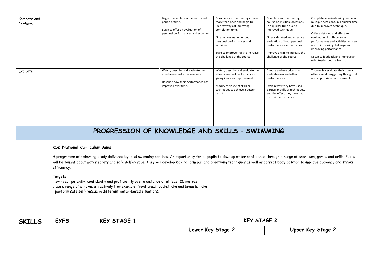| Compete and<br>Perform<br>Evaluate             |                                                                                                                                                                                                                                                                                                                                                                                                                                                                                                                                                                                                                                                                                                          |                    | Begin to complete activities in a set<br>period of time.<br>Begin to offer an evaluation of<br>personal performances and activities.<br>Watch, describe and evaluate the<br>effectiveness of a performance.<br>Describe how their performance has<br>improved over time. | Complete an orienteering course<br>more than once and begin to<br>identify ways of improving<br>completion time.<br>Offer an evaluation of both<br>personal performances and<br>activities.<br>Start to improve trails to increase<br>the challenge of the course.<br>Watch, describe and evaluate the<br>effectiveness of performances,<br>giving ideas for improvements.<br>Modify their use of skills or<br>techniques to achieve a better<br>result | Complete an orienteering<br>course on multiple occasions,<br>in a quicker time due to<br>improved technique.<br>Offer a detailed and effective<br>evaluation of both personal<br>performances and activities.<br>Improve a trail to increase the<br>challenge of the course.<br>Choose and use criteria to<br>evaluate own and others'<br>performances.<br>Explain why they have used<br>particular skills or techniques,<br>and the effect they have had<br>on their performance. | Complete an orienteering course on<br>multiple occasions, in a quicker time<br>due to improved technique.<br>Offer a detailed and effective<br>evaluation of both personal<br>performances and activities with an<br>aim of increasing challenge and<br>improving performance.<br>Listen to feedback and improve an<br>orienteering course from it.<br>Thoroughly evaluate their own and<br>others' work, suggesting thoughtful<br>and appropriate improvements. |  |  |  |  |  |  |
|------------------------------------------------|----------------------------------------------------------------------------------------------------------------------------------------------------------------------------------------------------------------------------------------------------------------------------------------------------------------------------------------------------------------------------------------------------------------------------------------------------------------------------------------------------------------------------------------------------------------------------------------------------------------------------------------------------------------------------------------------------------|--------------------|--------------------------------------------------------------------------------------------------------------------------------------------------------------------------------------------------------------------------------------------------------------------------|---------------------------------------------------------------------------------------------------------------------------------------------------------------------------------------------------------------------------------------------------------------------------------------------------------------------------------------------------------------------------------------------------------------------------------------------------------|------------------------------------------------------------------------------------------------------------------------------------------------------------------------------------------------------------------------------------------------------------------------------------------------------------------------------------------------------------------------------------------------------------------------------------------------------------------------------------|------------------------------------------------------------------------------------------------------------------------------------------------------------------------------------------------------------------------------------------------------------------------------------------------------------------------------------------------------------------------------------------------------------------------------------------------------------------|--|--|--|--|--|--|
| PROGRESSION OF KNOWLEDGE AND SKILLS - SWIMMING |                                                                                                                                                                                                                                                                                                                                                                                                                                                                                                                                                                                                                                                                                                          |                    |                                                                                                                                                                                                                                                                          |                                                                                                                                                                                                                                                                                                                                                                                                                                                         |                                                                                                                                                                                                                                                                                                                                                                                                                                                                                    |                                                                                                                                                                                                                                                                                                                                                                                                                                                                  |  |  |  |  |  |  |
|                                                | <b>KS2 National Curriculum Aims</b><br>A programme of swimming study delivered by local swimming coaches. An opportunity for all pupils to develop water confidence through a range of exercises, games and drills. Pupils<br>will be taught about water safety and safe self-rescue. They will develop kicking, arm pull and breathing techniques as well as correct body position to improve buoyancy and stroke<br>efficiency.<br>Targets:<br>I swim competently, confidently and proficiently over a distance of at least 25 metres<br>I use a range of strokes effectively [for example, front crawl, backstroke and breaststroke]<br>perform safe self-rescue in different water-based situations. |                    |                                                                                                                                                                                                                                                                          |                                                                                                                                                                                                                                                                                                                                                                                                                                                         |                                                                                                                                                                                                                                                                                                                                                                                                                                                                                    |                                                                                                                                                                                                                                                                                                                                                                                                                                                                  |  |  |  |  |  |  |
| <b>SKILLS</b>                                  | <b>EYFS</b>                                                                                                                                                                                                                                                                                                                                                                                                                                                                                                                                                                                                                                                                                              | <b>KEY STAGE 1</b> |                                                                                                                                                                                                                                                                          | <b>KEY STAGE 2</b>                                                                                                                                                                                                                                                                                                                                                                                                                                      |                                                                                                                                                                                                                                                                                                                                                                                                                                                                                    |                                                                                                                                                                                                                                                                                                                                                                                                                                                                  |  |  |  |  |  |  |
|                                                |                                                                                                                                                                                                                                                                                                                                                                                                                                                                                                                                                                                                                                                                                                          |                    |                                                                                                                                                                                                                                                                          | Lower Key Stage 2                                                                                                                                                                                                                                                                                                                                                                                                                                       |                                                                                                                                                                                                                                                                                                                                                                                                                                                                                    | Upper Key Stage 2                                                                                                                                                                                                                                                                                                                                                                                                                                                |  |  |  |  |  |  |